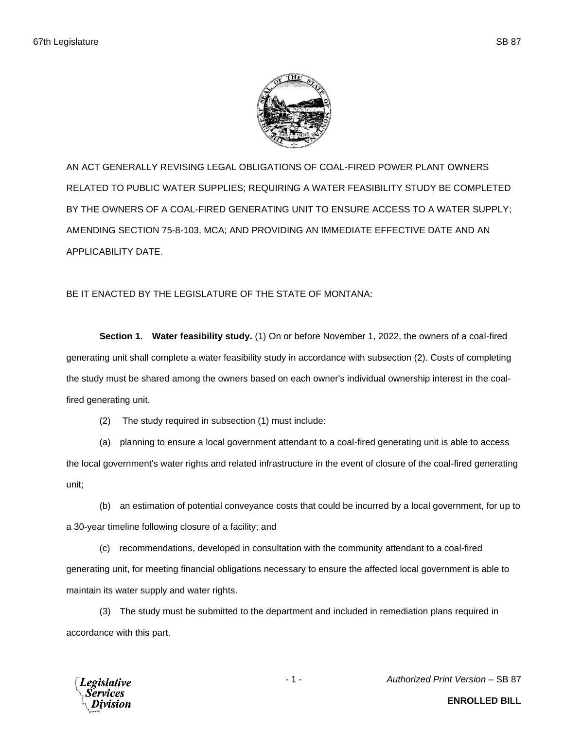

AN ACT GENERALLY REVISING LEGAL OBLIGATIONS OF COAL-FIRED POWER PLANT OWNERS RELATED TO PUBLIC WATER SUPPLIES; REQUIRING A WATER FEASIBILITY STUDY BE COMPLETED BY THE OWNERS OF A COAL-FIRED GENERATING UNIT TO ENSURE ACCESS TO A WATER SUPPLY; AMENDING SECTION 75-8-103, MCA; AND PROVIDING AN IMMEDIATE EFFECTIVE DATE AND AN APPLICABILITY DATE.

BE IT ENACTED BY THE LEGISLATURE OF THE STATE OF MONTANA:

**Section 1. Water feasibility study.** (1) On or before November 1, 2022, the owners of a coal-fired generating unit shall complete a water feasibility study in accordance with subsection (2). Costs of completing the study must be shared among the owners based on each owner's individual ownership interest in the coalfired generating unit.

(2) The study required in subsection (1) must include:

(a) planning to ensure a local government attendant to a coal-fired generating unit is able to access the local government's water rights and related infrastructure in the event of closure of the coal-fired generating unit;

(b) an estimation of potential conveyance costs that could be incurred by a local government, for up to a 30-year timeline following closure of a facility; and

(c) recommendations, developed in consultation with the community attendant to a coal-fired generating unit, for meeting financial obligations necessary to ensure the affected local government is able to maintain its water supply and water rights.

(3) The study must be submitted to the department and included in remediation plans required in accordance with this part.



- 1 - *Authorized Print Version* – SB 87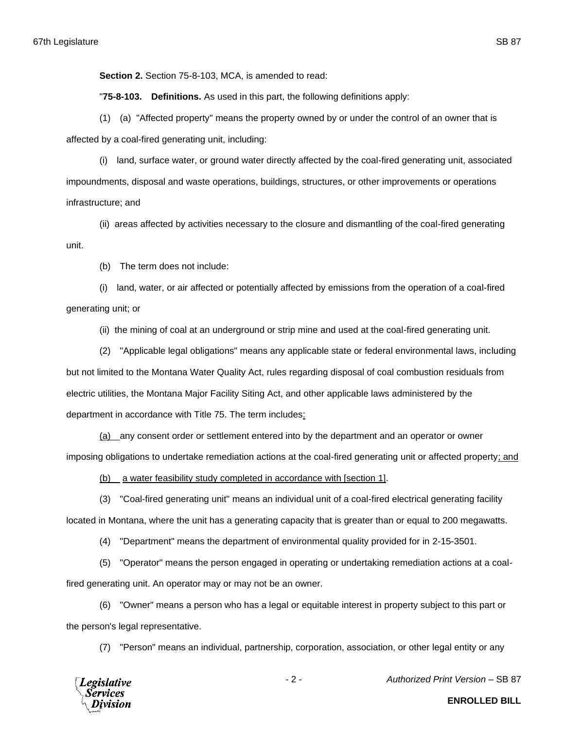**Section 2.** Section 75-8-103, MCA, is amended to read:

"**75-8-103. Definitions.** As used in this part, the following definitions apply:

(1) (a) "Affected property" means the property owned by or under the control of an owner that is affected by a coal-fired generating unit, including:

(i) land, surface water, or ground water directly affected by the coal-fired generating unit, associated impoundments, disposal and waste operations, buildings, structures, or other improvements or operations infrastructure; and

(ii) areas affected by activities necessary to the closure and dismantling of the coal-fired generating unit.

(b) The term does not include:

(i) land, water, or air affected or potentially affected by emissions from the operation of a coal-fired generating unit; or

(ii) the mining of coal at an underground or strip mine and used at the coal-fired generating unit.

(2) "Applicable legal obligations" means any applicable state or federal environmental laws, including but not limited to the Montana Water Quality Act, rules regarding disposal of coal combustion residuals from electric utilities, the Montana Major Facility Siting Act, and other applicable laws administered by the department in accordance with Title 75. The term includes:

(a) any consent order or settlement entered into by the department and an operator or owner imposing obligations to undertake remediation actions at the coal-fired generating unit or affected property; and

(b) a water feasibility study completed in accordance with [section 1].

(3) "Coal-fired generating unit" means an individual unit of a coal-fired electrical generating facility located in Montana, where the unit has a generating capacity that is greater than or equal to 200 megawatts.

(4) "Department" means the department of environmental quality provided for in 2-15-3501.

(5) "Operator" means the person engaged in operating or undertaking remediation actions at a coalfired generating unit. An operator may or may not be an owner.

(6) "Owner" means a person who has a legal or equitable interest in property subject to this part or the person's legal representative.

(7) "Person" means an individual, partnership, corporation, association, or other legal entity or any



- 2 - *Authorized Print Version* – SB 87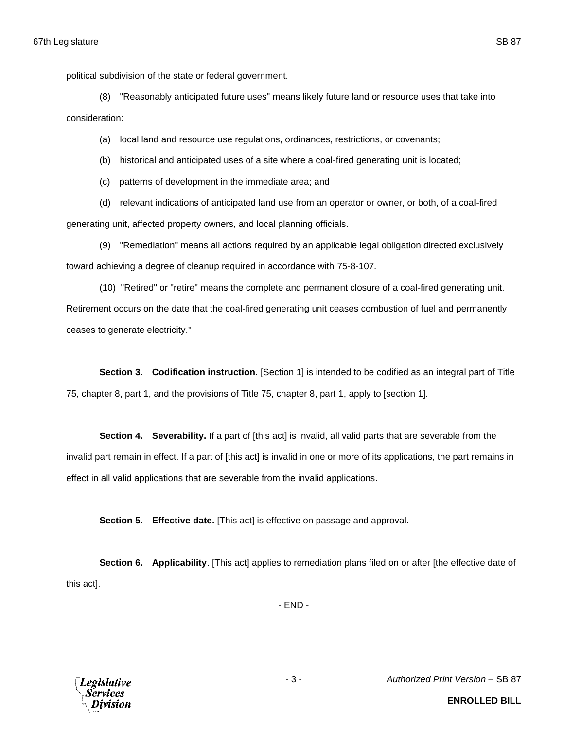political subdivision of the state or federal government.

(8) "Reasonably anticipated future uses" means likely future land or resource uses that take into consideration:

(a) local land and resource use regulations, ordinances, restrictions, or covenants;

(b) historical and anticipated uses of a site where a coal-fired generating unit is located;

(c) patterns of development in the immediate area; and

(d) relevant indications of anticipated land use from an operator or owner, or both, of a coal-fired generating unit, affected property owners, and local planning officials.

(9) "Remediation" means all actions required by an applicable legal obligation directed exclusively toward achieving a degree of cleanup required in accordance with 75-8-107.

(10) "Retired" or "retire" means the complete and permanent closure of a coal-fired generating unit. Retirement occurs on the date that the coal-fired generating unit ceases combustion of fuel and permanently ceases to generate electricity."

**Section 3. Codification instruction.** [Section 1] is intended to be codified as an integral part of Title 75, chapter 8, part 1, and the provisions of Title 75, chapter 8, part 1, apply to [section 1].

**Section 4. Severability.** If a part of [this act] is invalid, all valid parts that are severable from the invalid part remain in effect. If a part of [this act] is invalid in one or more of its applications, the part remains in effect in all valid applications that are severable from the invalid applications.

**Section 5. Effective date.** [This act] is effective on passage and approval.

**Section 6. Applicability**. [This act] applies to remediation plans filed on or after [the effective date of this act].

- END -



- 3 - *Authorized Print Version* – SB 87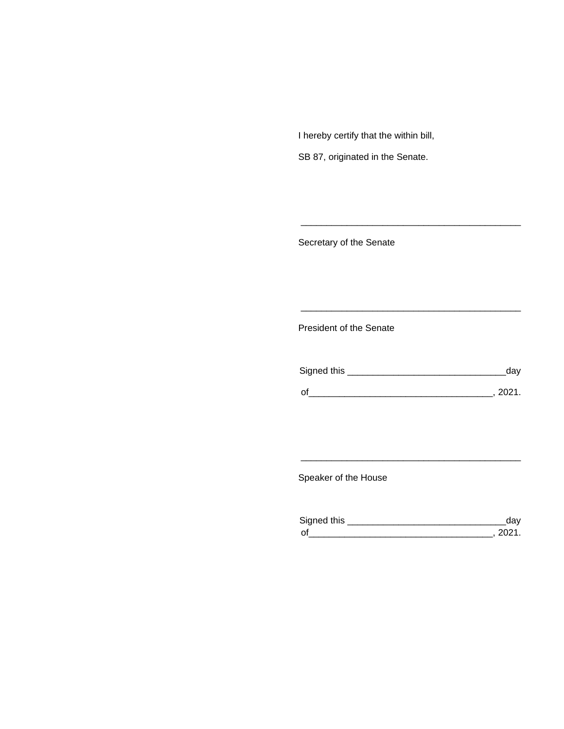I hereby certify that the within bill,

SB 87, originated in the Senate.

Secretary of the Senate

President of the Senate

| Signed this | ua v   |
|-------------|--------|
|             |        |
| $\Omega$    | 111111 |

\_\_\_\_\_\_\_\_\_\_\_\_\_\_\_\_\_\_\_\_\_\_\_\_\_\_\_\_\_\_\_\_\_\_\_\_\_\_\_\_\_\_\_

\_\_\_\_\_\_\_\_\_\_\_\_\_\_\_\_\_\_\_\_\_\_\_\_\_\_\_\_\_\_\_\_\_\_\_\_\_\_\_\_\_\_\_

Speaker of the House

| Signed this        |  |
|--------------------|--|
| $\mathsf{\Omega}'$ |  |

\_\_\_\_\_\_\_\_\_\_\_\_\_\_\_\_\_\_\_\_\_\_\_\_\_\_\_\_\_\_\_\_\_\_\_\_\_\_\_\_\_\_\_